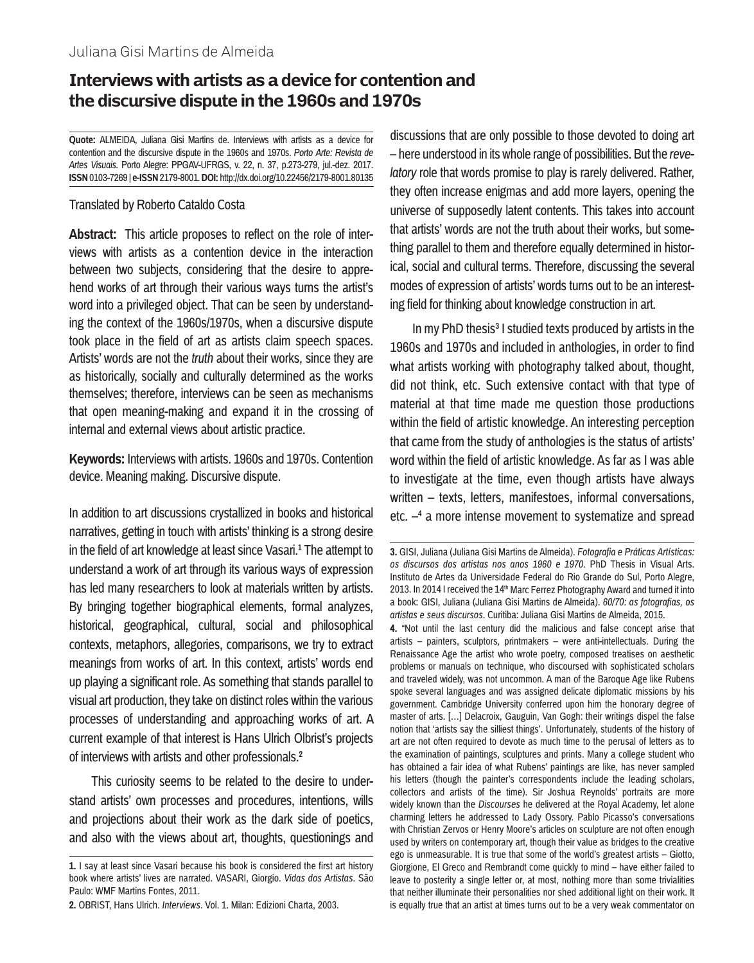## **Interviews with artists as a device for contention and the discursive dispute in the 1960s and 1970s**

**Quote:** ALMEIDA, Juliana Gisi Martins de. Interviews with artists as a device for contention and the discursive dispute in the 1960s and 1970s. *Porto Arte: Revista de Artes Visuais*. Porto Alegre: PPGAV-UFRGS, v. 22, n. 37, p.273-279, jul.-dez. 2017. **ISSN** 0103-7269 | **e-ISSN** 2179-8001. **DOI:** http://dx.doi.org/10.22456/2179-8001.80135

## Translated by Roberto Cataldo Costa

**Abstract:** This article proposes to reflect on the role of interviews with artists as a contention device in the interaction between two subjects, considering that the desire to apprehend works of art through their various ways turns the artist's word into a privileged object. That can be seen by understanding the context of the 1960s/1970s, when a discursive dispute took place in the field of art as artists claim speech spaces. Artists' words are not the *truth* about their works, since they are as historically, socially and culturally determined as the works themselves; therefore, interviews can be seen as mechanisms that open meaning-making and expand it in the crossing of internal and external views about artistic practice.

**Keywords:** Interviews with artists. 1960s and 1970s. Contention device. Meaning making. Discursive dispute.

In addition to art discussions crystallized in books and historical narratives, getting in touch with artists' thinking is a strong desire in the field of art knowledge at least since Vasari.1 The attempt to understand a work of art through its various ways of expression has led many researchers to look at materials written by artists. By bringing together biographical elements, formal analyzes, historical, geographical, cultural, social and philosophical contexts, metaphors, allegories, comparisons, we try to extract meanings from works of art. In this context, artists' words end up playing a significant role. As something that stands parallel to visual art production, they take on distinct roles within the various processes of understanding and approaching works of art. A current example of that interest is Hans Ulrich Olbrist's projects of interviews with artists and other professionals.2

This curiosity seems to be related to the desire to understand artists' own processes and procedures, intentions, wills and projections about their work as the dark side of poetics, and also with the views about art, thoughts, questionings and

**2.** OBRIST, Hans Ulrich. *Interviews*. Vol. 1. Milan: Edizioni Charta, 2003.

discussions that are only possible to those devoted to doing art – here understood in its whole range of possibilities. But the *revelatory* role that words promise to play is rarely delivered. Rather, they often increase enigmas and add more layers, opening the universe of supposedly latent contents. This takes into account that artists' words are not the truth about their works, but something parallel to them and therefore equally determined in historical, social and cultural terms. Therefore, discussing the several modes of expression of artists' words turns out to be an interesting field for thinking about knowledge construction in art.

In my PhD thesis<sup>3</sup> I studied texts produced by artists in the 1960s and 1970s and included in anthologies, in order to find what artists working with photography talked about, thought, did not think, etc. Such extensive contact with that type of material at that time made me question those productions within the field of artistic knowledge. An interesting perception that came from the study of anthologies is the status of artists' word within the field of artistic knowledge. As far as I was able to investigate at the time, even though artists have always written – texts, letters, manifestoes, informal conversations, etc. –4 a more intense movement to systematize and spread

**4.** "Not until the last century did the malicious and false concept arise that artists – painters, sculptors, printmakers – were anti-intellectuals. During the Renaissance Age the artist who wrote poetry, composed treatises on aesthetic problems or manuals on technique, who discoursed with sophisticated scholars and traveled widely, was not uncommon. A man of the Baroque Age like Rubens spoke several languages and was assigned delicate diplomatic missions by his government. Cambridge University conferred upon him the honorary degree of master of arts. […] Delacroix, Gauguin, Van Gogh: their writings dispel the false notion that 'artists say the silliest things'. Unfortunately, students of the history of art are not often required to devote as much time to the perusal of letters as to the examination of paintings, sculptures and prints. Many a college student who has obtained a fair idea of what Rubens' paintings are like, has never sampled his letters (though the painter's correspondents include the leading scholars, collectors and artists of the time). Sir Joshua Reynolds' portraits are more widely known than the *Discourses* he delivered at the Royal Academy, let alone charming letters he addressed to Lady Ossory. Pablo Picasso's conversations with Christian Zervos or Henry Moore's articles on sculpture are not often enough used by writers on contemporary art, though their value as bridges to the creative ego is unmeasurable. It is true that some of the world's greatest artists – Giotto, Giorgione, El Greco and Rembrandt come quickly to mind – have either failed to leave to posterity a single letter or, at most, nothing more than some trivialities that neither illuminate their personalities nor shed additional light on their work. It is equally true that an artist at times turns out to be a very weak commentator on

**<sup>1.</sup>** I say at least since Vasari because his book is considered the first art history book where artists' lives are narrated. VASARI, Giorgio. *Vidas dos Artistas*. São Paulo: WMF Martins Fontes, 2011.

**<sup>3.</sup>** GISI, Juliana (Juliana Gisi Martins de Almeida). *Fotografia e Práticas Artísticas: os discursos dos artistas nos anos 1960 e 1970*. PhD Thesis in Visual Arts. Instituto de Artes da Universidade Federal do Rio Grande do Sul, Porto Alegre, 2013. In 2014 I received the 14<sup>th</sup> Marc Ferrez Photography Award and turned it into a book: GISI, Juliana (Juliana Gisi Martins de Almeida). *60/70: as fotografias, os artistas e seus discursos*. Curitiba: Juliana Gisi Martins de Almeida, 2015.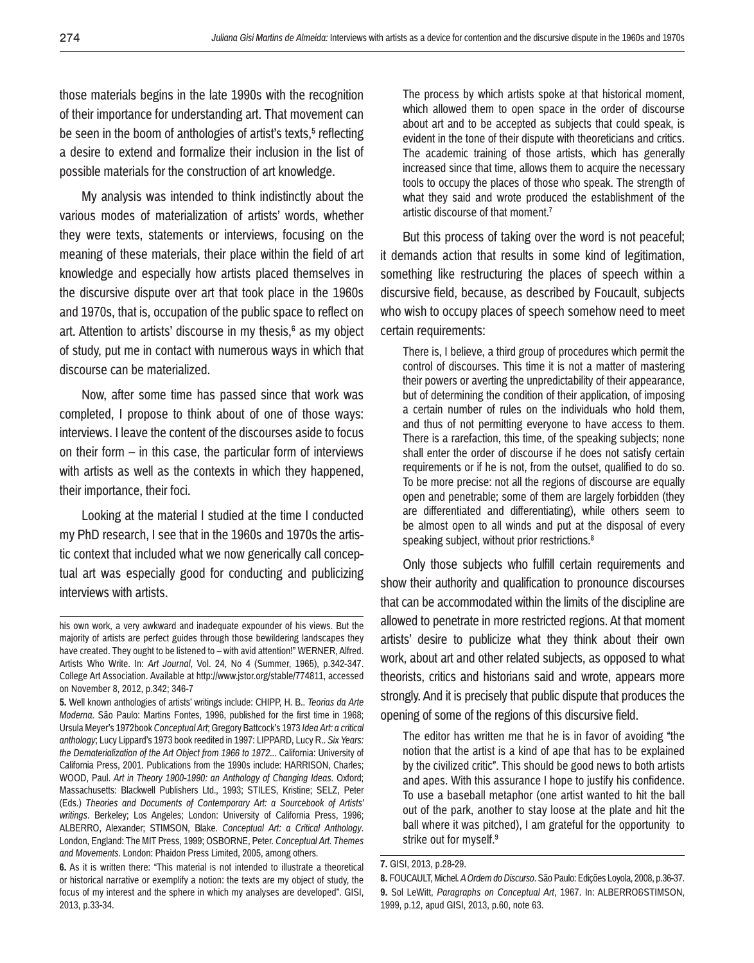those materials begins in the late 1990s with the recognition of their importance for understanding art. That movement can be seen in the boom of anthologies of artist's texts,<sup>5</sup> reflecting a desire to extend and formalize their inclusion in the list of possible materials for the construction of art knowledge.

My analysis was intended to think indistinctly about the various modes of materialization of artists' words, whether they were texts, statements or interviews, focusing on the meaning of these materials, their place within the field of art knowledge and especially how artists placed themselves in the discursive dispute over art that took place in the 1960s and 1970s, that is, occupation of the public space to reflect on art. Attention to artists' discourse in my thesis,<sup>6</sup> as my object of study, put me in contact with numerous ways in which that discourse can be materialized.

Now, after some time has passed since that work was completed, I propose to think about of one of those ways: interviews. I leave the content of the discourses aside to focus on their form – in this case, the particular form of interviews with artists as well as the contexts in which they happened, their importance, their foci.

Looking at the material I studied at the time I conducted my PhD research, I see that in the 1960s and 1970s the artistic context that included what we now generically call conceptual art was especially good for conducting and publicizing interviews with artists.

The process by which artists spoke at that historical moment, which allowed them to open space in the order of discourse about art and to be accepted as subjects that could speak, is evident in the tone of their dispute with theoreticians and critics. The academic training of those artists, which has generally increased since that time, allows them to acquire the necessary tools to occupy the places of those who speak. The strength of what they said and wrote produced the establishment of the artistic discourse of that moment.7

But this process of taking over the word is not peaceful; it demands action that results in some kind of legitimation, something like restructuring the places of speech within a discursive field, because, as described by Foucault, subjects who wish to occupy places of speech somehow need to meet certain requirements:

There is, I believe, a third group of procedures which permit the control of discourses. This time it is not a matter of mastering their powers or averting the unpredictability of their appearance, but of determining the condition of their application, of imposing a certain number of rules on the individuals who hold them, and thus of not permitting everyone to have access to them. There is a rarefaction, this time, of the speaking subjects; none shall enter the order of discourse if he does not satisfy certain requirements or if he is not, from the outset, qualified to do so. To be more precise: not all the regions of discourse are equally open and penetrable; some of them are largely forbidden (they are differentiated and differentiating), while others seem to be almost open to all winds and put at the disposal of every speaking subject, without prior restrictions.8

Only those subjects who fulfill certain requirements and show their authority and qualification to pronounce discourses that can be accommodated within the limits of the discipline are allowed to penetrate in more restricted regions. At that moment artists' desire to publicize what they think about their own work, about art and other related subjects, as opposed to what theorists, critics and historians said and wrote, appears more strongly. And it is precisely that public dispute that produces the opening of some of the regions of this discursive field.

The editor has written me that he is in favor of avoiding "the notion that the artist is a kind of ape that has to be explained by the civilized critic". This should be good news to both artists and apes. With this assurance I hope to justify his confidence. To use a baseball metaphor (one artist wanted to hit the ball out of the park, another to stay loose at the plate and hit the ball where it was pitched), I am grateful for the opportunity to strike out for myself.<sup>9</sup>

his own work, a very awkward and inadequate expounder of his views. But the majority of artists are perfect guides through those bewildering landscapes they have created. They ought to be listened to – with avid attention!" WERNER, Alfred. Artists Who Write. In: *Art Journal*, Vol. 24, No 4 (Summer, 1965), p.342-347. College Art Association. Available at http://www.jstor.org/stable/774811, accessed on November 8, 2012, p.342; 346-7

**<sup>5.</sup>** Well known anthologies of artists' writings include: CHIPP, H. B.. *Teorias da Arte Moderna*. São Paulo: Martins Fontes, 1996, published for the first time in 1968; Ursula Meyer's 1972book *Conceptual Art*; Gregory Battcock's 1973 *Idea Art: a critical anthology*; Lucy Lippard's 1973 book reedited in 1997: LIPPARD, Lucy R.. *Six Years: the Dematerialization of the Art Object from 1966 to 1972...* California: University of California Press, 2001. Publications from the 1990s include: HARRISON, Charles; WOOD, Paul. *Art in Theory 1900-1990: an Anthology of Changing Ideas*. Oxford; Massachusetts: Blackwell Publishers Ltd., 1993; STILES, Kristine; SELZ, Peter (Eds.) *Theories and Documents of Contemporary Art: a Sourcebook of Artists' writings*. Berkeley; Los Angeles; London: University of California Press, 1996; ALBERRO, Alexander; STIMSON, Blake. *Conceptual Art: a Critical Anthology*. London, England: The MIT Press, 1999; OSBORNE, Peter. *Conceptual Art. Themes and Movements*. London: Phaidon Press Limited, 2005, among others.

**<sup>6.</sup>** As it is written there: "This material is not intended to illustrate a theoretical or historical narrative or exemplify a notion: the texts are my object of study, the focus of my interest and the sphere in which my analyses are developed". GISI, 2013, p.33-34.

**<sup>7.</sup>** GISI, 2013, p.28-29.

**<sup>8.</sup>** FOUCAULT, Michel. *A Ordem do Discurso*. São Paulo: Edições Loyola, 2008, p.36-37. **9.** Sol LeWitt, *Paragraphs on Conceptual Art*, 1967. In: ALBERRO&STIMSON, 1999, p.12, apud GISI, 2013, p.60, note 63.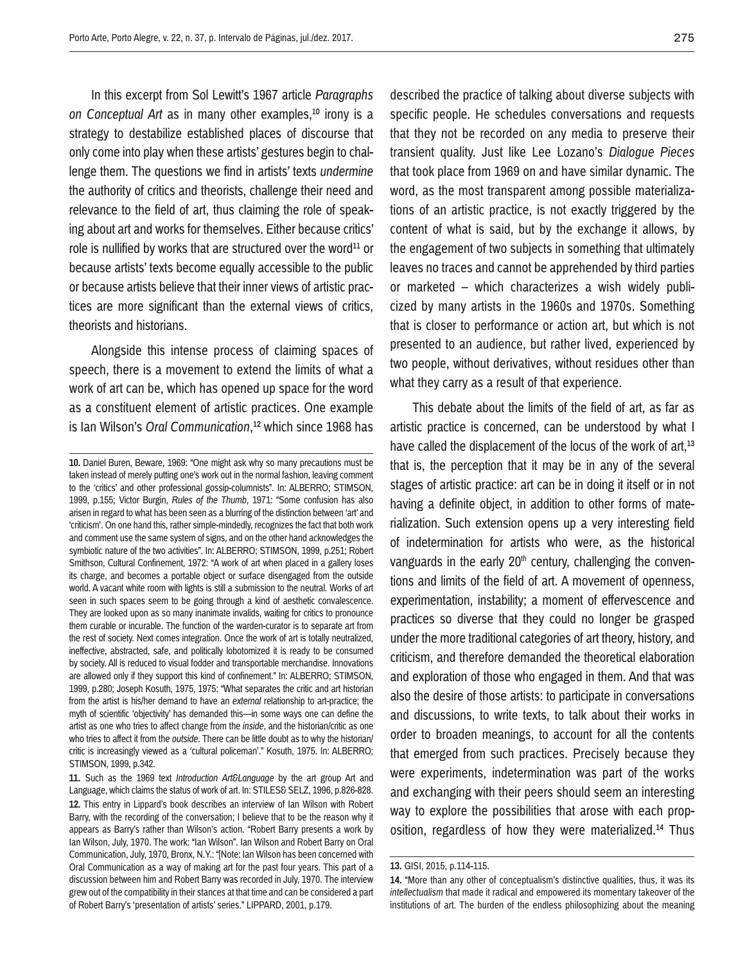In this excerpt from Sol Lewitt's 1967 article *Paragraphs*  on Conceptual Art as in many other examples.<sup>10</sup> irony is a strategy to destabilize established places of discourse that only come into play when these artists' gestures begin to challenge them. The questions we find in artists' texts *undermine* the authority of critics and theorists, challenge their need and relevance to the field of art, thus claiming the role of speaking about art and works for themselves. Either because critics' role is nullified by works that are structured over the word $11$  or because artists' texts become equally accessible to the public or because artists believe that their inner views of artistic practices are more significant than the external views of critics, theorists and historians.

Alongside this intense process of claiming spaces of speech, there is a movement to extend the limits of what a work of art can be, which has opened up space for the word as a constituent element of artistic practices. One example is Ian Wilson's *Oral Communication*.<sup>12</sup> which since 1968 has

**11.** Such as the 1969 text *Introduction Art&Language* by the art group Art and Language, which claims the status of work of art. In: STILES& SELZ, 1996, p.826-828. **12.** This entry in Lippard's book describes an interview of Ian Wilson with Robert Barry, with the recording of the conversation; I believe that to be the reason why it appears as Barry's rather than Wilson's action. "Robert Barry presents a work by Ian Wilson, July, 1970. The work: "Ian Wilson". Ian Wilson and Robert Barry on Oral Communication, July, 1970, Bronx, N.Y.: "[Note: Ian Wilson has been concerned with Oral Communication as a way of making art for the past four years. This part of a discussion between him and Robert Barry was recorded in July, 1970. The interview grew out of the compatibility in their stances at that time and can be considered a part of Robert Barry's 'presentation of artists' series." LIPPARD, 2001, p.179.

described the practice of talking about diverse subjects with specific people. He schedules conversations and requests that they not be recorded on any media to preserve their transient quality. Just like Lee Lozano's *Dialogue Pieces* that took place from 1969 on and have similar dynamic. The word, as the most transparent among possible materializations of an artistic practice, is not exactly triggered by the content of what is said, but by the exchange it allows, by the engagement of two subjects in something that ultimately leaves no traces and cannot be apprehended by third parties or marketed – which characterizes a wish widely publicized by many artists in the 1960s and 1970s. Something that is closer to performance or action art, but which is not presented to an audience, but rather lived, experienced by two people, without derivatives, without residues other than what they carry as a result of that experience.

This debate about the limits of the field of art, as far as artistic practice is concerned, can be understood by what I have called the displacement of the locus of the work of art.<sup>13</sup> that is, the perception that it may be in any of the several stages of artistic practice: art can be in doing it itself or in not having a definite object, in addition to other forms of materialization. Such extension opens up a very interesting field of indetermination for artists who were, as the historical vanguards in the early  $20<sup>th</sup>$  century, challenging the conventions and limits of the field of art. A movement of openness, experimentation, instability; a moment of effervescence and practices so diverse that they could no longer be grasped under the more traditional categories of art theory, history, and criticism, and therefore demanded the theoretical elaboration and exploration of those who engaged in them. And that was also the desire of those artists: to participate in conversations and discussions, to write texts, to talk about their works in order to broaden meanings, to account for all the contents that emerged from such practices. Precisely because they were experiments, indetermination was part of the works and exchanging with their peers should seem an interesting way to explore the possibilities that arose with each proposition, regardless of how they were materialized.14 Thus

**<sup>10.</sup>** Daniel Buren, Beware, 1969: "One might ask why so many precautions must be taken instead of merely putting one's work out in the normal fashion, leaving comment to the 'critics' and other professional gossip-columnists". In: ALBERRO; STIMSON, 1999, p.155; Victor Burgin, *Rules of the Thumb*, 1971: "Some confusion has also arisen in regard to what has been seen as a blurring of the distinction between 'art' and 'criticism'. On one hand this, rather simple-mindedly, recognizes the fact that both work and comment use the same system of signs, and on the other hand acknowledges the symbiotic nature of the two activities". In: ALBERRO; STIMSON, 1999, p.251; Robert Smithson, Cultural Confinement, 1972: "A work of art when placed in a gallery loses its charge, and becomes a portable object or surface disengaged from the outside world. A vacant white room with lights is still a submission to the neutral. Works of art seen in such spaces seem to be going through a kind of aesthetic convalescence. They are looked upon as so many inanimate invalids, waiting for critics to pronounce them curable or incurable. The function of the warden-curator is to separate art from the rest of society. Next comes integration. Once the work of art is totally neutralized, ineffective, abstracted, safe, and politically lobotomized it is ready to be consumed by society. All is reduced to visual fodder and transportable merchandise. Innovations are allowed only if they support this kind of confinement." In: ALBERRO; STIMSON, 1999, p.280; Joseph Kosuth, 1975, 1975: "What separates the critic and art historian from the artist is his/her demand to have an *external* relationship to art-practice; the myth of scientific 'objectivity' has demanded this—in some ways one can define the artist as one who tries to affect change from the *inside*, and the historian/critic as one who tries to affect it from the *outside*. There can be little doubt as to why the historian/ critic is increasingly viewed as a 'cultural policeman'." Kosuth, 1975. In: ALBERRO; STIMSON, 1999, p.342.

**<sup>13.</sup>** GISI, 2015, p.114-115.

**<sup>14.</sup>** "More than any other of conceptualism's distinctive qualities, thus, it was its *intellectualism* that made it radical and empowered its momentary takeover of the institutions of art. The burden of the endless philosophizing about the meaning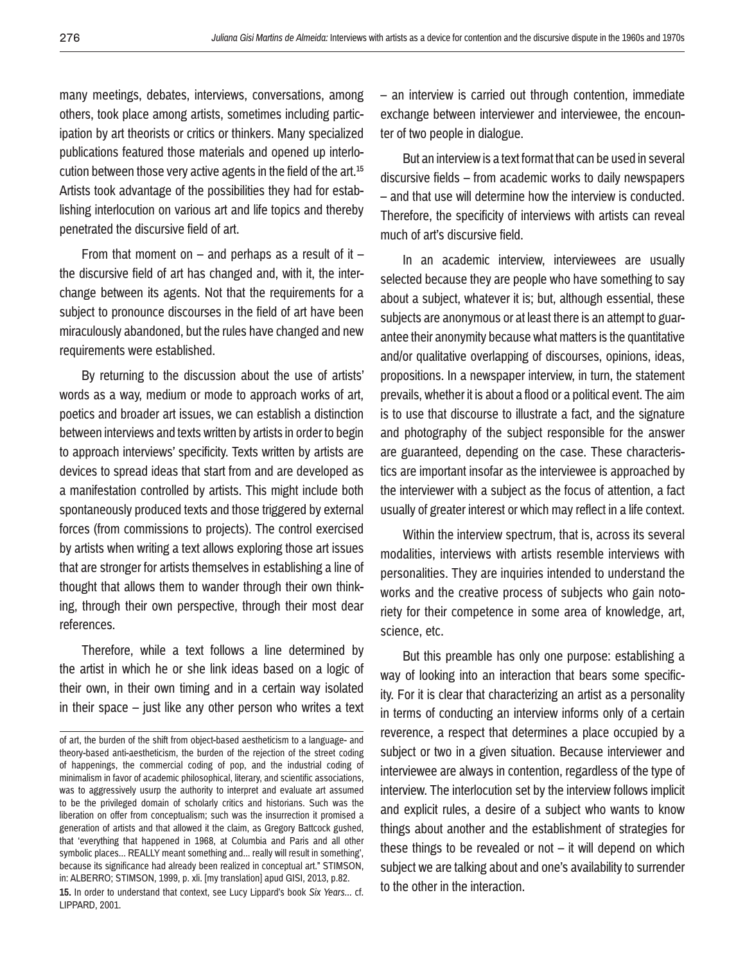many meetings, debates, interviews, conversations, among others, took place among artists, sometimes including participation by art theorists or critics or thinkers. Many specialized publications featured those materials and opened up interlocution between those very active agents in the field of the art.15 Artists took advantage of the possibilities they had for establishing interlocution on various art and life topics and thereby penetrated the discursive field of art.

From that moment on  $-$  and perhaps as a result of it  $$ the discursive field of art has changed and, with it, the interchange between its agents. Not that the requirements for a subject to pronounce discourses in the field of art have been miraculously abandoned, but the rules have changed and new requirements were established.

By returning to the discussion about the use of artists' words as a way, medium or mode to approach works of art, poetics and broader art issues, we can establish a distinction between interviews and texts written by artists in order to begin to approach interviews' specificity. Texts written by artists are devices to spread ideas that start from and are developed as a manifestation controlled by artists. This might include both spontaneously produced texts and those triggered by external forces (from commissions to projects). The control exercised by artists when writing a text allows exploring those art issues that are stronger for artists themselves in establishing a line of thought that allows them to wander through their own thinking, through their own perspective, through their most dear references.

Therefore, while a text follows a line determined by the artist in which he or she link ideas based on a logic of their own, in their own timing and in a certain way isolated in their space – just like any other person who writes a text – an interview is carried out through contention, immediate exchange between interviewer and interviewee, the encounter of two people in dialogue.

But an interview is a text format that can be used in several discursive fields – from academic works to daily newspapers – and that use will determine how the interview is conducted. Therefore, the specificity of interviews with artists can reveal much of art's discursive field.

In an academic interview, interviewees are usually selected because they are people who have something to say about a subject, whatever it is; but, although essential, these subjects are anonymous or at least there is an attempt to guarantee their anonymity because what matters is the quantitative and/or qualitative overlapping of discourses, opinions, ideas, propositions. In a newspaper interview, in turn, the statement prevails, whether it is about a flood or a political event. The aim is to use that discourse to illustrate a fact, and the signature and photography of the subject responsible for the answer are guaranteed, depending on the case. These characteristics are important insofar as the interviewee is approached by the interviewer with a subject as the focus of attention, a fact usually of greater interest or which may reflect in a life context.

Within the interview spectrum, that is, across its several modalities, interviews with artists resemble interviews with personalities. They are inquiries intended to understand the works and the creative process of subjects who gain notoriety for their competence in some area of knowledge, art, science, etc.

But this preamble has only one purpose: establishing a way of looking into an interaction that bears some specificity. For it is clear that characterizing an artist as a personality in terms of conducting an interview informs only of a certain reverence, a respect that determines a place occupied by a subject or two in a given situation. Because interviewer and interviewee are always in contention, regardless of the type of interview. The interlocution set by the interview follows implicit and explicit rules, a desire of a subject who wants to know things about another and the establishment of strategies for these things to be revealed or not – it will depend on which subject we are talking about and one's availability to surrender to the other in the interaction.

of art, the burden of the shift from object-based aestheticism to a language- and theory-based anti-aestheticism, the burden of the rejection of the street coding of happenings, the commercial coding of pop, and the industrial coding of minimalism in favor of academic philosophical, literary, and scientific associations, was to aggressively usurp the authority to interpret and evaluate art assumed to be the privileged domain of scholarly critics and historians. Such was the liberation on offer from conceptualism; such was the insurrection it promised a generation of artists and that allowed it the claim, as Gregory Battcock gushed, that 'everything that happened in 1968, at Columbia and Paris and all other symbolic places... REALLY meant something and... really will result in something', because its significance had already been realized in conceptual art." STIMSON, in: ALBERRO; STIMSON, 1999, p. xli. [my translation] apud GISI, 2013, p.82. **15.** In order to understand that context, see Lucy Lippard's book *Six Years...* cf. LIPPARD, 2001.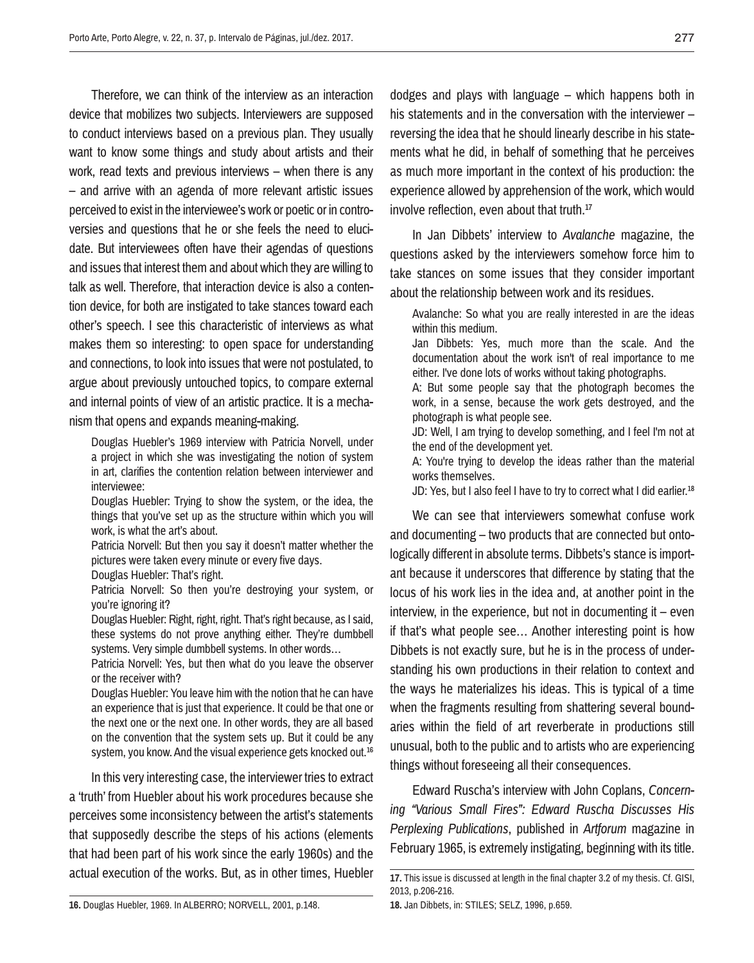Therefore, we can think of the interview as an interaction device that mobilizes two subjects. Interviewers are supposed to conduct interviews based on a previous plan. They usually want to know some things and study about artists and their work, read texts and previous interviews – when there is any – and arrive with an agenda of more relevant artistic issues perceived to exist in the interviewee's work or poetic or in controversies and questions that he or she feels the need to elucidate. But interviewees often have their agendas of questions and issues that interest them and about which they are willing to talk as well. Therefore, that interaction device is also a contention device, for both are instigated to take stances toward each other's speech. I see this characteristic of interviews as what makes them so interesting: to open space for understanding and connections, to look into issues that were not postulated, to argue about previously untouched topics, to compare external and internal points of view of an artistic practice. It is a mechanism that opens and expands meaning-making.

Douglas Huebler's 1969 interview with Patricia Norvell, under a project in which she was investigating the notion of system in art, clarifies the contention relation between interviewer and interviewee:

Douglas Huebler: Trying to show the system, or the idea, the things that you've set up as the structure within which you will work, is what the art's about.

Patricia Norvell: But then you say it doesn't matter whether the pictures were taken every minute or every five days.

Douglas Huebler: That's right.

Patricia Norvell: So then you're destroying your system, or you're ignoring it?

Douglas Huebler: Right, right, right. That's right because, as I said, these systems do not prove anything either. They're dumbbell systems. Very simple dumbbell systems. In other words…

Patricia Norvell: Yes, but then what do you leave the observer or the receiver with?

Douglas Huebler: You leave him with the notion that he can have an experience that is just that experience. It could be that one or the next one or the next one. In other words, they are all based on the convention that the system sets up. But it could be any system, you know. And the visual experience gets knocked out.<sup>16</sup>

In this very interesting case, the interviewer tries to extract a 'truth' from Huebler about his work procedures because she perceives some inconsistency between the artist's statements that supposedly describe the steps of his actions (elements that had been part of his work since the early 1960s) and the actual execution of the works. But, as in other times, Huebler dodges and plays with language – which happens both in his statements and in the conversation with the interviewer – reversing the idea that he should linearly describe in his statements what he did, in behalf of something that he perceives as much more important in the context of his production: the experience allowed by apprehension of the work, which would involve reflection, even about that truth.<sup>17</sup>

In Jan Dibbets' interview to *Avalanche* magazine, the questions asked by the interviewers somehow force him to take stances on some issues that they consider important about the relationship between work and its residues.

Avalanche: So what you are really interested in are the ideas within this medium.

Jan Dibbets: Yes, much more than the scale. And the documentation about the work isn't of real importance to me either. I've done lots of works without taking photographs.

A: But some people say that the photograph becomes the work, in a sense, because the work gets destroyed, and the photograph is what people see.

JD: Well, I am trying to develop something, and I feel I'm not at the end of the development yet.

A: You're trying to develop the ideas rather than the material works themselves.

JD: Yes, but I also feel I have to try to correct what I did earlier.<sup>18</sup>

We can see that interviewers somewhat confuse work and documenting – two products that are connected but ontologically different in absolute terms. Dibbets's stance is important because it underscores that difference by stating that the locus of his work lies in the idea and, at another point in the interview, in the experience, but not in documenting it  $-$  even if that's what people see… Another interesting point is how Dibbets is not exactly sure, but he is in the process of understanding his own productions in their relation to context and the ways he materializes his ideas. This is typical of a time when the fragments resulting from shattering several boundaries within the field of art reverberate in productions still unusual, both to the public and to artists who are experiencing things without foreseeing all their consequences.

Edward Ruscha's interview with John Coplans, *Concerning "Various Small Fires": Edward Ruscha Discusses His Perplexing Publications*, published in *Artforum* magazine in February 1965, is extremely instigating, beginning with its title.

**<sup>17.</sup>** This issue is discussed at length in the final chapter 3.2 of my thesis. Cf. GISI, 2013, p.206-216.

**<sup>18.</sup>** Jan Dibbets, in: STILES; SELZ, 1996, p.659.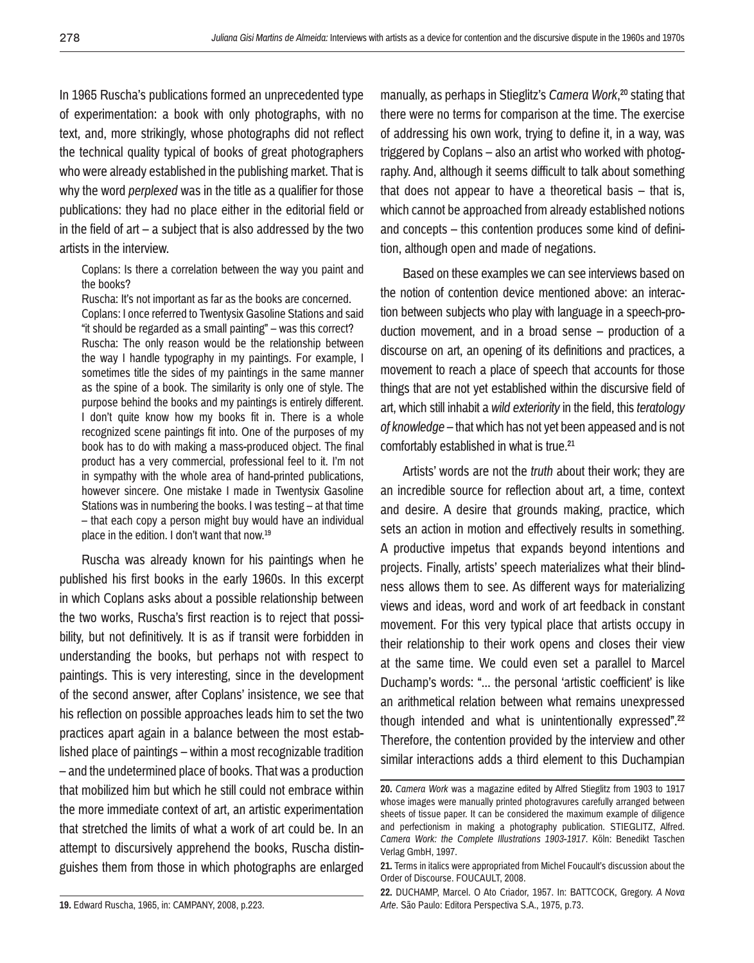In 1965 Ruscha's publications formed an unprecedented type of experimentation: a book with only photographs, with no text, and, more strikingly, whose photographs did not reflect the technical quality typical of books of great photographers who were already established in the publishing market. That is why the word *perplexed* was in the title as a qualifier for those publications: they had no place either in the editorial field or in the field of art – a subject that is also addressed by the two artists in the interview.

Coplans: Is there a correlation between the way you paint and the books?

Ruscha: It's not important as far as the books are concerned. Coplans: I once referred to Twentysix Gasoline Stations and said "it should be regarded as a small painting" – was this correct? Ruscha: The only reason would be the relationship between the way I handle typography in my paintings. For example, I sometimes title the sides of my paintings in the same manner as the spine of a book. The similarity is only one of style. The purpose behind the books and my paintings is entirely different. I don't quite know how my books fit in. There is a whole recognized scene paintings fit into. One of the purposes of my book has to do with making a mass-produced object. The final product has a very commercial, professional feel to it. I'm not in sympathy with the whole area of hand-printed publications, however sincere. One mistake I made in Twentysix Gasoline Stations was in numbering the books. I was testing – at that time – that each copy a person might buy would have an individual place in the edition. I don't want that now.19

Ruscha was already known for his paintings when he published his first books in the early 1960s. In this excerpt in which Coplans asks about a possible relationship between the two works, Ruscha's first reaction is to reject that possibility, but not definitively. It is as if transit were forbidden in understanding the books, but perhaps not with respect to paintings. This is very interesting, since in the development of the second answer, after Coplans' insistence, we see that his reflection on possible approaches leads him to set the two practices apart again in a balance between the most established place of paintings – within a most recognizable tradition – and the undetermined place of books. That was a production that mobilized him but which he still could not embrace within the more immediate context of art, an artistic experimentation that stretched the limits of what a work of art could be. In an attempt to discursively apprehend the books, Ruscha distinguishes them from those in which photographs are enlarged

manually, as perhaps in Stieglitz's *Camera Work*,20 stating that there were no terms for comparison at the time. The exercise of addressing his own work, trying to define it, in a way, was triggered by Coplans – also an artist who worked with photography. And, although it seems difficult to talk about something that does not appear to have a theoretical basis – that is, which cannot be approached from already established notions and concepts – this contention produces some kind of definition, although open and made of negations.

Based on these examples we can see interviews based on the notion of contention device mentioned above: an interaction between subjects who play with language in a speech-production movement, and in a broad sense – production of a discourse on art, an opening of its definitions and practices, a movement to reach a place of speech that accounts for those things that are not yet established within the discursive field of art, which still inhabit a *wild exteriority* in the field, this *teratology of knowledge* – that which has not yet been appeased and is not comfortably established in what is true.21

Artists' words are not the *truth* about their work; they are an incredible source for reflection about art, a time, context and desire. A desire that grounds making, practice, which sets an action in motion and effectively results in something. A productive impetus that expands beyond intentions and projects. Finally, artists' speech materializes what their blindness allows them to see. As different ways for materializing views and ideas, word and work of art feedback in constant movement. For this very typical place that artists occupy in their relationship to their work opens and closes their view at the same time. We could even set a parallel to Marcel Duchamp's words: "... the personal 'artistic coefficient' is like an arithmetical relation between what remains unexpressed though intended and what is unintentionally expressed".<sup>22</sup> Therefore, the contention provided by the interview and other similar interactions adds a third element to this Duchampian

**<sup>20.</sup>** *Camera Work* was a magazine edited by Alfred Stieglitz from 1903 to 1917 whose images were manually printed photogravures carefully arranged between sheets of tissue paper. It can be considered the maximum example of diligence and perfectionism in making a photography publication. STIEGLITZ, Alfred. *Camera Work: the Complete Illustrations 1903-1917*. Köln: Benedikt Taschen Verlag GmbH, 1997.

**<sup>21.</sup>** Terms in italics were appropriated from Michel Foucault's discussion about the Order of Discourse. FOUCAULT, 2008.

**<sup>22.</sup>** DUCHAMP, Marcel. O Ato Criador, 1957. In: BATTCOCK, Gregory. *A Nova Arte*. São Paulo: Editora Perspectiva S.A., 1975, p.73.